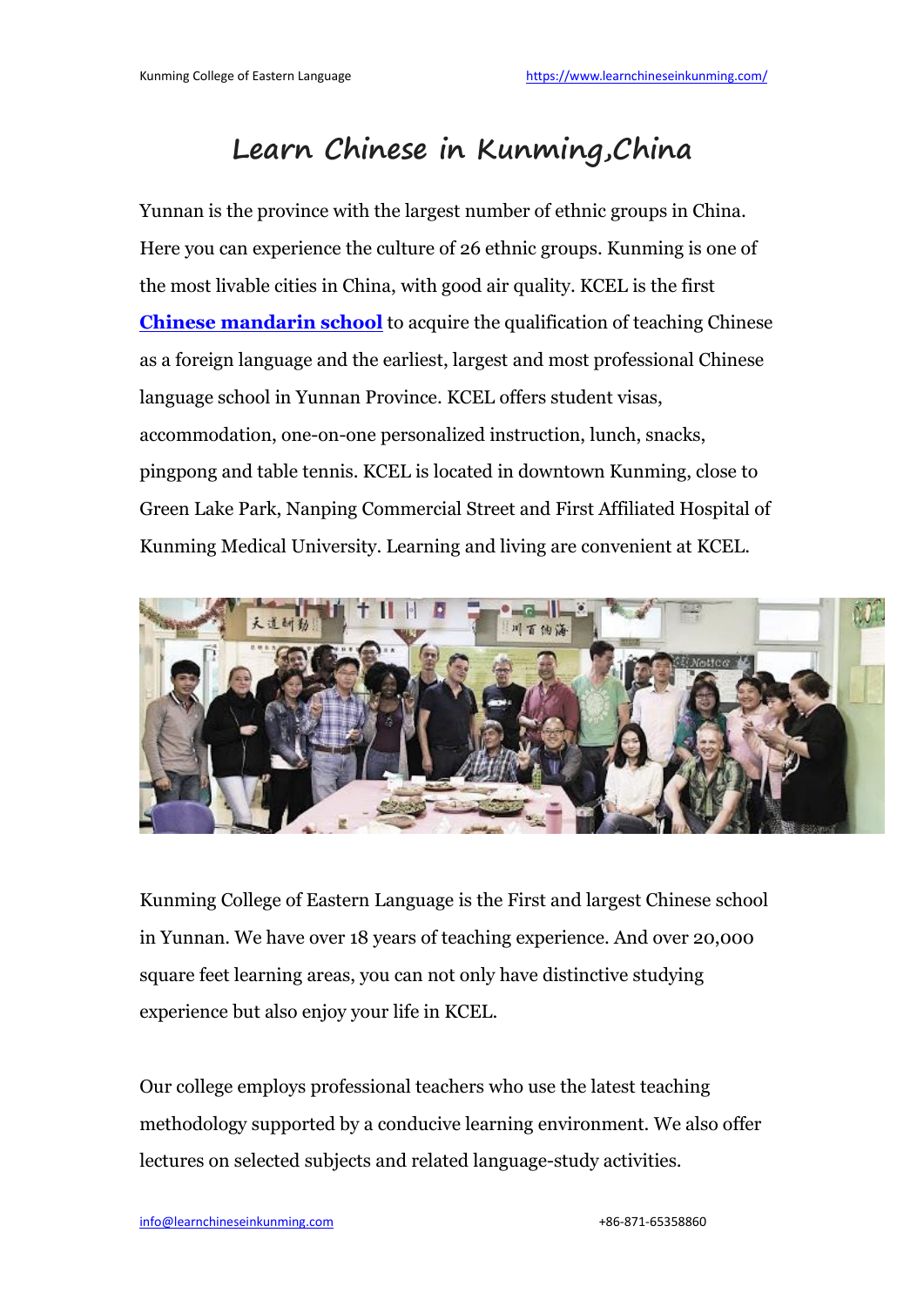# **Learn Chinese in Kunming,China**

Yunnan is the province with the largest number of ethnic groups in China. Here you can experience the culture of 26 ethnic groups. Kunming is one of the most livable cities in China, with good air quality. KCEL is the first **Chinese [mandarin](https://www.learnchineseinkunming.com/) school** to acquire the qualification of teaching Chinese as a foreign language and the earliest, largest and most professional Chinese language school in Yunnan Province. KCEL offers student visas, accommodation, one-on-one personalized instruction, lunch, snacks, pingpong and table tennis. KCEL is located in downtown Kunming, close to Green Lake Park, Nanping Commercial Street and First Affiliated Hospital of Kunming Medical University. Learning and living are convenient at KCEL.



Kunming College of Eastern Language is the First and largest Chinese school in Yunnan. We have over 18 years of teaching experience. And over 20,000 square feet learning areas, you can not only have distinctive studying experience but also enjoy your life in KCEL.

Our college employs professional teachers who use the latest teaching methodology supported by a conducive learning environment. We also offer lectures on selected subjects and related language-study activities.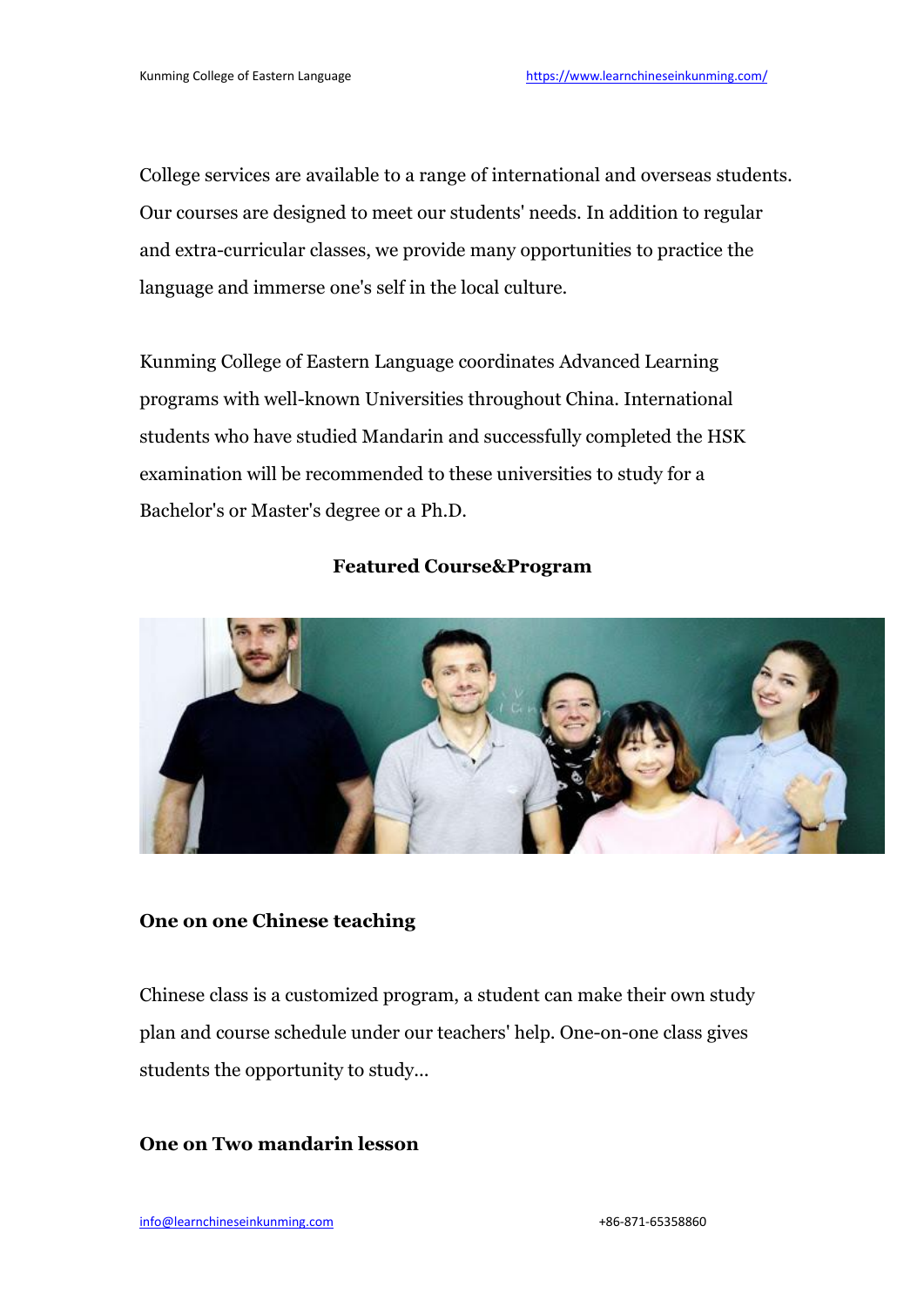College services are available to a range of international and overseas students. Our courses are designed to meet our students' needs. In addition to regular and extra-curricular classes, we provide many opportunities to practice the language and immerse one's self in the local culture.

Kunming College of Eastern Language coordinates Advanced Learning programs with well-known Universities throughout China. International students who have studied Mandarin and successfully completed the HSK examination will be recommended to these universities to study fora Bachelor's or Master's degree or a Ph.D.

#### **Featured Course&Program**



#### **One on one Chinese teaching**

Chinese class is a customized program, a student can make their own study plan and course schedule under our teachers' help. One-on-one class gives students the opportunity to study...

#### **One on Two mandarin lesson**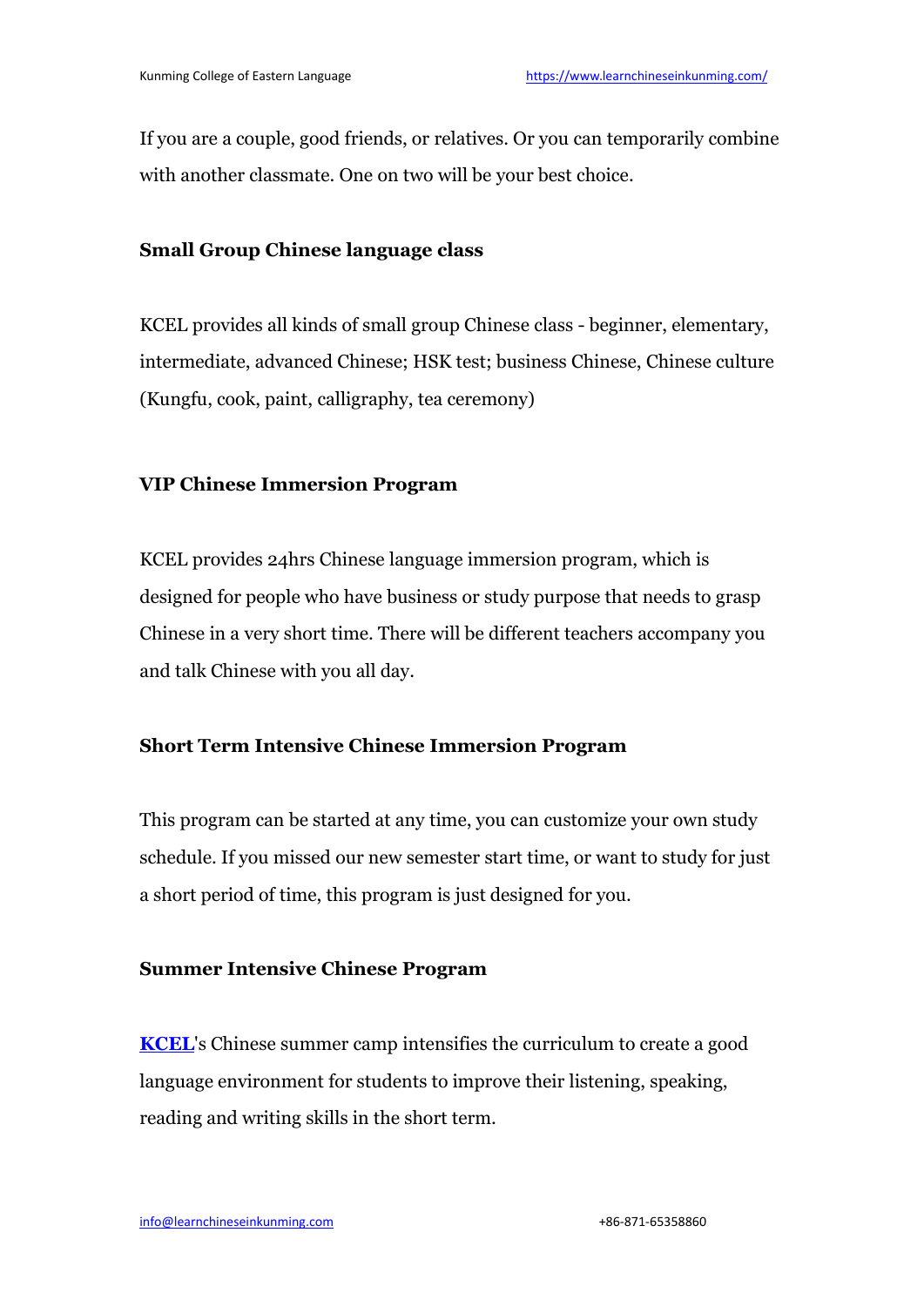If you are a couple, good friends, or relatives. Or you can temporarily combine with another classmate. One on two will be your best choice.

## **Small Group Chinese language class**

KCEL provides all kinds of small group Chinese class - beginner, elementary, intermediate, advanced Chinese; HSK test; business Chinese, Chinese culture (Kungfu, cook, paint, calligraphy, tea ceremony)

# **VIP Chinese Immersion Program**

KCEL provides 24hrs Chinese language immersion program, which is designed for people who have business or study purpose that needs to grasp Chinese in a very short time. There will be different teachers accompany you and talk Chinese with you all day.

### **Short Term Intensive Chinese Immersion Program**

This program can be started at any time, you can customize your own study schedule. If you missed our new semester start time, or want to study for just a short period of time, this program is just designed for you.

### **Summer Intensive Chinese Program**

**[KCEL](https://www.learnchineseinkunming.com/about/campus.html)**'s Chinese summer camp intensifies the curriculum to create a good language environment for students to improve their listening, speaking, reading and writing skills in the short term.